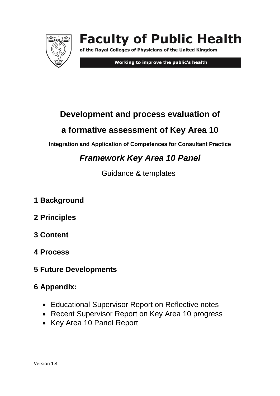

# **Faculty of Public Health**

of the Royal Colleges of Physicians of the United Kingdom

Working to improve the public's health

# **Development and process evaluation of**

# **a formative assessment of Key Area 10**

**Integration and Application of Competences for Consultant Practice**

# *Framework Key Area 10 Panel*

Guidance & templates

- **1 Background**
- **2 Principles**
- **3 Content**
- **4 Process**
- **5 Future Developments**

# **6 Appendix:**

- Educational Supervisor Report on Reflective notes
- Recent Supervisor Report on Key Area 10 progress
- Key Area 10 Panel Report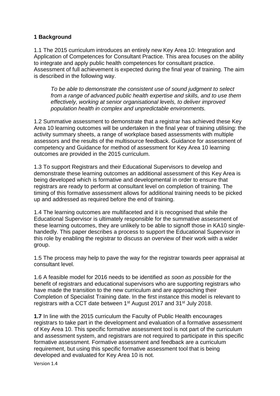#### **1 Background**

1.1 The 2015 curriculum introduces an entirely new Key Area 10: Integration and Application of Competences for Consultant Practice. This area focuses on the ability to integrate and apply public health competences for consultant practice. Assessment of full achievement is expected during the final year of training. The aim is described in the following way.

*To be able to demonstrate the consistent use of sound judgment to select from a range of advanced public health expertise and skills, and to use them effectively, working at senior organisational levels, to deliver improved population health in complex and unpredictable environments.*

1.2 Summative assessment to demonstrate that a registrar has achieved these Key Area 10 learning outcomes will be undertaken in the final year of training utilising: the activity summary sheets, a range of workplace based assessments with multiple assessors and the results of the multisource feedback. Guidance for assessment of competency and Guidance for method of assessment for Key Area 10 learning outcomes are provided in the 2015 curriculum.

1.3 To support Registrars and their Educational Supervisors to develop and demonstrate these learning outcomes an additional assessment of this Key Area is being developed which is formative and developmental in order to ensure that registrars are ready to perform at consultant level on completion of training. The timing of this formative assessment allows for additional training needs to be picked up and addressed as required before the end of training.

1.4 The learning outcomes are multifaceted and it is recognised that while the Educational Supervisor is ultimately responsible for the summative assessment of these learning outcomes, they are unlikely to be able to signoff those in KA10 singlehandedly. This paper describes a process to support the Educational Supervisor in this role by enabling the registrar to discuss an overview of their work with a wider group.

1.5 The process may help to pave the way for the registrar towards peer appraisal at consultant level.

1.6 A feasible model for 2016 needs to be identified *as soon as possible* for the benefit of registrars and educational supervisors who are supporting registrars who have made the transition to the new curriculum and are approaching their Completion of Specialist Training date. In the first instance this model is relevant to registrars with a CCT date between 1st August 2017 and 31st July 2018.

**1.7** In line with the 2015 curriculum the Faculty of Public Health encourages registrars to take part in the development and evaluation of a formative assessment of Key Area 10. This specific formative assessment tool is not part of the curriculum and assessment system, and registrars are not required to participate in this specific formative assessment. Formative assessment and feedback are a curriculum requirement, but using this specific formative assessment tool that is being developed and evaluated for Key Area 10 is not.

Version 1.4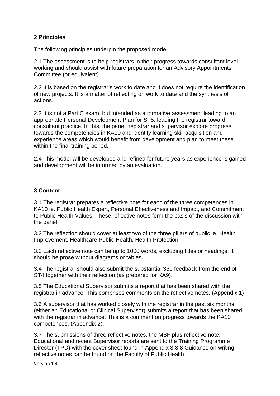# **2 Principles**

The following principles underpin the proposed model.

2.1 The assessment is to help registrars in their progress towards consultant level working and should assist with future preparation for an Advisory Appointments Committee (or equivalent).

2.2 It is based on the registrar's work to date and it does not require the identification of new projects. It is a matter of reflecting on work to date and the synthesis of actions.

2.3 It is not a Part C exam, but intended as a formative assessment leading to an appropriate Personal Development Plan for ST5, leading the registrar toward consultant practice. In this, the panel, registrar and supervisor explore progress towards the competencies in KA10 and identify learning skill acquisition and experience areas which would benefit from development and plan to meet these within the final training period.

2.4 This model will be developed and refined for future years as experience is gained and development will be informed by an evaluation.

### **3 Content**

3.1 The registrar prepares a reflective note for each of the three competences in KA10 ie. Public Health Expert, Personal Effectiveness and Impact, and Commitment to Public Health Values. These reflective notes form the basis of the discussion with the panel.

3.2 The reflection should cover at least two of the three pillars of public ie. Health Improvement, Healthcare Public Health, Health Protection.

3.3 Each reflective note can be up to 1000 words, excluding titles or headings. It should be prose without diagrams or tables.

3.4 The registrar should also submit the substantial 360 feedback from the end of ST4 together with their reflection (as prepared for KA9).

3.5 The Educational Supervisor submits a report that has been shared with the registrar in advance. This comprises comments on the reflective notes. (Appendix 1)

3.6 A supervisor that has worked closely with the registrar in the past six months (either an Educational or Clinical Supervisor) submits a report that has been shared with the registrar in advance. This is a comment on progress towards the KA10 competences. (Appendix 2).

3.7 The submissions of three reflective notes, the MSF plus reflective note, Educational and recent Supervisor reports are sent to the Training Programme Director (TPD) with the cover sheet found in Appendix 3.3.8 Guidance on writing reflective notes can be found on the Faculty of Public Health

Version 1.4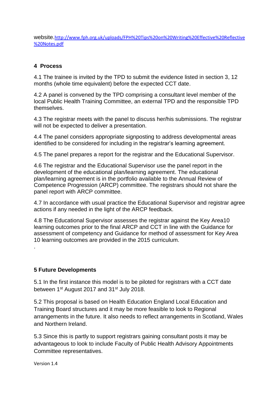website.[http://www.fph.org.uk/uploads/FPH%20Tips%20on%20Writing%20Effective%20Reflective](http://www.fph.org.uk/uploads/FPH%20Tips%20on%20Writing%20Effective%20Reflective%20Notes.pdf) [%20Notes.pdf](http://www.fph.org.uk/uploads/FPH%20Tips%20on%20Writing%20Effective%20Reflective%20Notes.pdf)

# **4 Process**

4.1 The trainee is invited by the TPD to submit the evidence listed in section 3, 12 months (whole time equivalent) before the expected CCT date.

4.2 A panel is convened by the TPD comprising a consultant level member of the local Public Health Training Committee, an external TPD and the responsible TPD themselves.

4.3 The registrar meets with the panel to discuss her/his submissions. The registrar will not be expected to deliver a presentation.

4.4 The panel considers appropriate signposting to address developmental areas identified to be considered for including in the registrar's learning agreement.

4.5 The panel prepares a report for the registrar and the Educational Supervisor.

4.6 The registrar and the Educational Supervisor use the panel report in the development of the educational plan/learning agreement. The educational plan/learning agreement is in the portfolio available to the Annual Review of Competence Progression (ARCP) committee. The registrars should not share the panel report with ARCP committee.

4.7 In accordance with usual practice the Educational Supervisor and registrar agree actions if any needed in the light of the ARCP feedback.

4.8 The Educational Supervisor assesses the registrar against the Key Area10 learning outcomes prior to the final ARCP and CCT in line with the Guidance for assessment of competency and Guidance for method of assessment for Key Area 10 learning outcomes are provided in the 2015 curriculum.

### **5 Future Developments**

5.1 In the first instance this model is to be piloted for registrars with a CCT date between 1<sup>st</sup> August 2017 and 31<sup>st</sup> July 2018.

5.2 This proposal is based on Health Education England Local Education and Training Board structures and it may be more feasible to look to Regional arrangements in the future. It also needs to reflect arrangements in Scotland, Wales and Northern Ireland.

5.3 Since this is partly to support registrars gaining consultant posts it may be advantageous to look to include Faculty of Public Health Advisory Appointments Committee representatives.

.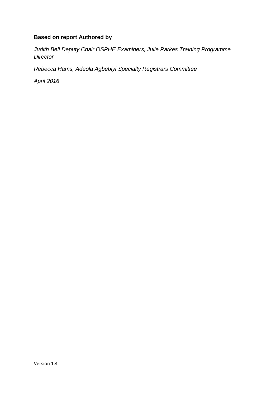# **Based on report Authored by**

*Judith Bell Deputy Chair OSPHE Examiners, Julie Parkes Training Programme Director*

*Rebecca Hams, Adeola Agbebiyi Specialty Registrars Committee*

*April 2016*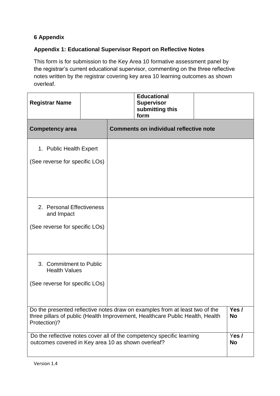# **6 Appendix**

# **Appendix 1: Educational Supervisor Report on Reflective Notes**

This form is for submission to the Key Area 10 formative assessment panel by the registrar's current educational supervisor, commenting on the three reflective notes written by the registrar covering key area 10 learning outcomes as shown overleaf.

| <b>Registrar Name</b>                                                                                                                                                                     |  | <b>Educational</b><br><b>Supervisor</b><br>submitting this<br>form |      |                   |
|-------------------------------------------------------------------------------------------------------------------------------------------------------------------------------------------|--|--------------------------------------------------------------------|------|-------------------|
| <b>Competency area</b>                                                                                                                                                                    |  | <b>Comments on individual reflective note</b>                      |      |                   |
| 1. Public Health Expert                                                                                                                                                                   |  |                                                                    |      |                   |
| (See reverse for specific LOs)                                                                                                                                                            |  |                                                                    |      |                   |
| 2. Personal Effectiveness<br>and Impact<br>(See reverse for specific LOs)                                                                                                                 |  |                                                                    |      |                   |
| 3. Commitment to Public<br><b>Health Values</b><br>(See reverse for specific LOs)                                                                                                         |  |                                                                    |      |                   |
| Do the presented reflective notes draw on examples from at least two of the<br>three pillars of public (Health Improvement, Healthcare Public Health, Health<br><b>No</b><br>Protection)? |  |                                                                    | Yes/ |                   |
| Do the reflective notes cover all of the competency specific learning<br>outcomes covered in Key area 10 as shown overleaf?                                                               |  |                                                                    |      | Yes/<br><b>No</b> |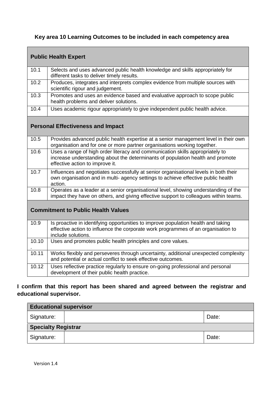# **Key area 10 Learning Outcomes to be included in each competency area**

 $\overline{\phantom{0}}$ 

| <b>Public Health Expert</b> |                                                                                                                                                                                                    |  |  |  |
|-----------------------------|----------------------------------------------------------------------------------------------------------------------------------------------------------------------------------------------------|--|--|--|
| 10.1                        | Selects and uses advanced public health knowledge and skills appropriately for<br>different tasks to deliver timely results.                                                                       |  |  |  |
| 10.2                        | Produces, integrates and interprets complex evidence from multiple sources with<br>scientific rigour and judgement.                                                                                |  |  |  |
| 10.3                        | Promotes and uses an evidence based and evaluative approach to scope public<br>health problems and deliver solutions.                                                                              |  |  |  |
| 10.4                        | Uses academic rigour appropriately to give independent public health advice.                                                                                                                       |  |  |  |
|                             | <b>Personal Effectiveness and Impact</b>                                                                                                                                                           |  |  |  |
| 10.5                        | Provides advanced public health expertise at a senior management level in their own<br>organisation and for one or more partner organisations working together.                                    |  |  |  |
| 10.6                        | Uses a range of high order literacy and communication skills appropriately to<br>increase understanding about the determinants of population health and promote<br>effective action to improve it. |  |  |  |
| 10.7                        | Influences and negotiates successfully at senior organisational levels in both their<br>own organisation and in multi- agency settings to achieve effective public health<br>action.               |  |  |  |
| 10.8                        | Operates as a leader at a senior organisational level, showing understanding of the<br>impact they have on others, and giving effective support to colleagues within teams.                        |  |  |  |
|                             | <b>Commitment to Public Health Values</b>                                                                                                                                                          |  |  |  |
| 10.9                        | Is proactive in identifying opportunities to improve population health and taking<br>effective action to influence the corporate work programmes of an organisation to<br>include solutions.       |  |  |  |
| 10.10                       | Uses and promotes public health principles and core values.                                                                                                                                        |  |  |  |
| 10.11                       | Works flexibly and perseveres through uncertainty, additional unexpected complexity<br>and potential or actual conflict to seek effective outcomes.                                                |  |  |  |
| 10.12                       | Uses reflective practice regularly to ensure on-going professional and personal<br>development of their public health practice.                                                                    |  |  |  |

# **I confirm that this report has been shared and agreed between the registrar and educational supervisor.**

| <b>Educational supervisor</b> |  |       |  |
|-------------------------------|--|-------|--|
| Signature:                    |  | Date: |  |
| <b>Specialty Registrar</b>    |  |       |  |
| Signature:                    |  | Date: |  |

Г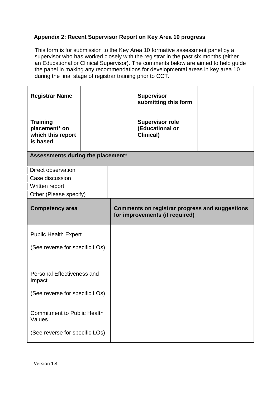# **Appendix 2: Recent Supervisor Report on Key Area 10 progress**

This form is for submission to the Key Area 10 formative assessment panel by a supervisor who has worked closely with the registrar in the past six months (either an Educational or Clinical Supervisor). The comments below are aimed to help guide the panel in making any recommendations for developmental areas in key area 10 during the final stage of registrar training prior to CCT.

| <b>Registrar Name</b>                                             |  |                                                                                         | <b>Supervisor</b><br>submitting this form                      |  |
|-------------------------------------------------------------------|--|-----------------------------------------------------------------------------------------|----------------------------------------------------------------|--|
| <b>Training</b><br>placement* on<br>which this report<br>is based |  |                                                                                         | <b>Supervisor role</b><br>(Educational or<br><b>Clinical</b> ) |  |
| Assessments during the placement*                                 |  |                                                                                         |                                                                |  |
| <b>Direct observation</b>                                         |  |                                                                                         |                                                                |  |
| Case discussion                                                   |  |                                                                                         |                                                                |  |
| Written report                                                    |  |                                                                                         |                                                                |  |
| Other (Please specify)                                            |  |                                                                                         |                                                                |  |
| <b>Competency area</b>                                            |  | <b>Comments on registrar progress and suggestions</b><br>for improvements (if required) |                                                                |  |
| <b>Public Health Expert</b>                                       |  |                                                                                         |                                                                |  |
| (See reverse for specific LOs)                                    |  |                                                                                         |                                                                |  |
| Personal Effectiveness and<br>Impact                              |  |                                                                                         |                                                                |  |
| (See reverse for specific LOs)                                    |  |                                                                                         |                                                                |  |
| <b>Commitment to Public Health</b><br>Values                      |  |                                                                                         |                                                                |  |
| (See reverse for specific LOs)                                    |  |                                                                                         |                                                                |  |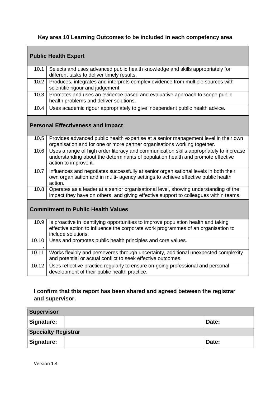# **Key area 10 Learning Outcomes to be included in each competency area**

| <b>Public Health Expert</b>               |                                                                                                                                                                                                    |  |  |  |
|-------------------------------------------|----------------------------------------------------------------------------------------------------------------------------------------------------------------------------------------------------|--|--|--|
| 10.1                                      | Selects and uses advanced public health knowledge and skills appropriately for<br>different tasks to deliver timely results.                                                                       |  |  |  |
| 10.2                                      | Produces, integrates and interprets complex evidence from multiple sources with<br>scientific rigour and judgement.                                                                                |  |  |  |
| 10.3                                      | Promotes and uses an evidence based and evaluative approach to scope public<br>health problems and deliver solutions.                                                                              |  |  |  |
| 10.4                                      | Uses academic rigour appropriately to give independent public health advice.                                                                                                                       |  |  |  |
| <b>Personal Effectiveness and Impact</b>  |                                                                                                                                                                                                    |  |  |  |
| 10.5                                      | Provides advanced public health expertise at a senior management level in their own<br>organisation and for one or more partner organisations working together.                                    |  |  |  |
| 10.6                                      | Uses a range of high order literacy and communication skills appropriately to increase<br>understanding about the determinants of population health and promote effective<br>action to improve it. |  |  |  |
| 10.7                                      | Influences and negotiates successfully at senior organisational levels in both their<br>own organisation and in multi- agency settings to achieve effective public health<br>action.               |  |  |  |
| 10.8                                      | Operates as a leader at a senior organisational level, showing understanding of the<br>impact they have on others, and giving effective support to colleagues within teams.                        |  |  |  |
| <b>Commitment to Public Health Values</b> |                                                                                                                                                                                                    |  |  |  |
| 10.9                                      | Is proactive in identifying opportunities to improve population health and taking<br>effective action to influence the corporate work programmes of an organisation to<br>include solutions.       |  |  |  |
| 10.10                                     | Uses and promotes public health principles and core values.                                                                                                                                        |  |  |  |
| 10.11                                     | Works flexibly and perseveres through uncertainty, additional unexpected complexity<br>and potential or actual conflict to seek effective outcomes.                                                |  |  |  |
| 10.12                                     | Uses reflective practice regularly to ensure on-going professional and personal<br>development of their public health practice.                                                                    |  |  |  |

# **I confirm that this report has been shared and agreed between the registrar and supervisor.**

| Supervisor                 |  |       |  |
|----------------------------|--|-------|--|
| Signature:                 |  | Date: |  |
| <b>Specialty Registrar</b> |  |       |  |
| Signature:                 |  | Date: |  |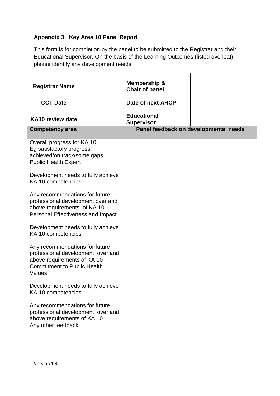# **Appendix 3 Key Area 10 Panel Report**

This form is for completion by the panel to be submitted to the Registrar and their Educational Supervisor. On the basis of the Learning Outcomes (listed overleaf) please identify any development needs.

| <b>Registrar Name</b>                                                                              | Membership &<br><b>Chair of panel</b>   |                                       |
|----------------------------------------------------------------------------------------------------|-----------------------------------------|---------------------------------------|
| <b>CCT Date</b>                                                                                    | Date of next ARCP                       |                                       |
| KA10 review date                                                                                   | <b>Educational</b><br><b>Supervisor</b> |                                       |
| <b>Competency area</b>                                                                             |                                         | Panel feedback on developmental needs |
| Overall progress for KA 10<br>Eg satisfactory progress<br>achieved/on track/some gaps              |                                         |                                       |
| <b>Public Health Expert</b>                                                                        |                                         |                                       |
| Development needs to fully achieve<br>KA 10 competencies                                           |                                         |                                       |
| Any recommendations for future<br>professional development over and<br>above requirements of KA 10 |                                         |                                       |
| Personal Effectiveness and Impact                                                                  |                                         |                                       |
| Development needs to fully achieve<br>KA 10 competencies                                           |                                         |                                       |
| Any recommendations for future<br>professional development over and<br>above requirements of KA 10 |                                         |                                       |
| <b>Commitment to Public Health</b><br>Values                                                       |                                         |                                       |
| Development needs to fully achieve<br>KA 10 competencies                                           |                                         |                                       |
| Any recommendations for future<br>professional development over and<br>above requirements of KA 10 |                                         |                                       |
| Any other feedback                                                                                 |                                         |                                       |